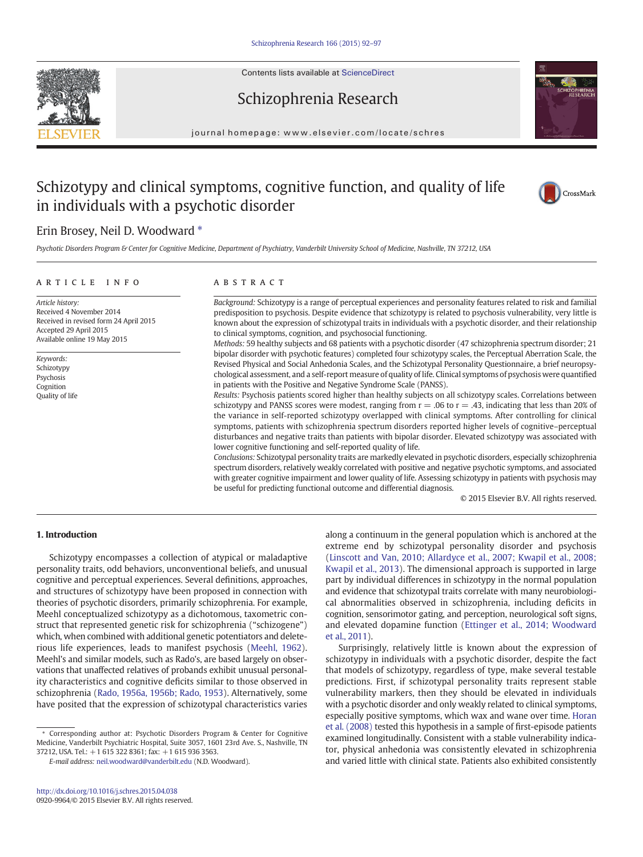

# Schizophrenia Research



journal homepage: www.elsevier.com/locate/schres

# Schizotypy and clinical symptoms, cognitive function, and quality of life in individuals with a psychotic disorder



# Erin Brosey, Neil D. Woodward  $*$

Psychotic Disorders Program & Center for Cognitive Medicine, Department of Psychiatry, Vanderbilt University School of Medicine, Nashville, TN 37212, USA

### article info abstract

Article history: Received 4 November 2014 Received in revised form 24 April 2015 Accepted 29 April 2015 Available online 19 May 2015

Keywords: Schizotypy Psychosis Cognition Quality of life Background: Schizotypy is a range of perceptual experiences and personality features related to risk and familial predisposition to psychosis. Despite evidence that schizotypy is related to psychosis vulnerability, very little is known about the expression of schizotypal traits in individuals with a psychotic disorder, and their relationship to clinical symptoms, cognition, and psychosocial functioning.

Methods: 59 healthy subjects and 68 patients with a psychotic disorder (47 schizophrenia spectrum disorder; 21 bipolar disorder with psychotic features) completed four schizotypy scales, the Perceptual Aberration Scale, the Revised Physical and Social Anhedonia Scales, and the Schizotypal Personality Questionnaire, a brief neuropsychological assessment, and a self-report measure of quality of life. Clinical symptoms of psychosis were quantified in patients with the Positive and Negative Syndrome Scale (PANSS).

Results: Psychosis patients scored higher than healthy subjects on all schizotypy scales. Correlations between schizotypy and PANSS scores were modest, ranging from  $r = .06$  to  $r = .43$ , indicating that less than 20% of the variance in self-reported schizotypy overlapped with clinical symptoms. After controlling for clinical symptoms, patients with schizophrenia spectrum disorders reported higher levels of cognitive–perceptual disturbances and negative traits than patients with bipolar disorder. Elevated schizotypy was associated with lower cognitive functioning and self-reported quality of life.

Conclusions: Schizotypal personality traits are markedly elevated in psychotic disorders, especially schizophrenia spectrum disorders, relatively weakly correlated with positive and negative psychotic symptoms, and associated with greater cognitive impairment and lower quality of life. Assessing schizotypy in patients with psychosis may be useful for predicting functional outcome and differential diagnosis.

© 2015 Elsevier B.V. All rights reserved.

## 1. Introduction

Schizotypy encompasses a collection of atypical or maladaptive personality traits, odd behaviors, unconventional beliefs, and unusual cognitive and perceptual experiences. Several definitions, approaches, and structures of schizotypy have been proposed in connection with theories of psychotic disorders, primarily schizophrenia. For example, Meehl conceptualized schizotypy as a dichotomous, taxometric construct that represented genetic risk for schizophrenia ("schizogene") which, when combined with additional genetic potentiators and deleterious life experiences, leads to manifest psychosis [\(Meehl, 1962](#page-5-0)). Meehl's and similar models, such as Rado's, are based largely on observations that unaffected relatives of probands exhibit unusual personality characteristics and cognitive deficits similar to those observed in schizophrenia [\(Rado, 1956a, 1956b; Rado, 1953\)](#page-5-0). Alternatively, some have posited that the expression of schizotypal characteristics varies

⁎ Corresponding author at: Psychotic Disorders Program & Center for Cognitive Medicine, Vanderbilt Psychiatric Hospital, Suite 3057, 1601 23rd Ave. S., Nashville, TN 37212, USA. Tel.: +1 615 322 8361; fax: +1 615 936 3563.

E-mail address: [neil.woodward@vanderbilt.edu](mailto:neil.woodward@vanderbilt.edu) (N.D. Woodward).

along a continuum in the general population which is anchored at the extreme end by schizotypal personality disorder and psychosis [\(Linscott and Van, 2010; Allardyce et al., 2007; Kwapil et al., 2008;](#page-5-0) [Kwapil et al., 2013\)](#page-5-0). The dimensional approach is supported in large part by individual differences in schizotypy in the normal population and evidence that schizotypal traits correlate with many neurobiological abnormalities observed in schizophrenia, including deficits in cognition, sensorimotor gating, and perception, neurological soft signs, and elevated dopamine function ([Ettinger et al., 2014; Woodward](#page-5-0) [et al., 2011](#page-5-0)).

Surprisingly, relatively little is known about the expression of schizotypy in individuals with a psychotic disorder, despite the fact that models of schizotypy, regardless of type, make several testable predictions. First, if schizotypal personality traits represent stable vulnerability markers, then they should be elevated in individuals with a psychotic disorder and only weakly related to clinical symptoms, especially positive symptoms, which wax and wane over time. [Horan](#page-5-0) [et al. \(2008\)](#page-5-0) tested this hypothesis in a sample of first-episode patients examined longitudinally. Consistent with a stable vulnerability indicator, physical anhedonia was consistently elevated in schizophrenia and varied little with clinical state. Patients also exhibited consistently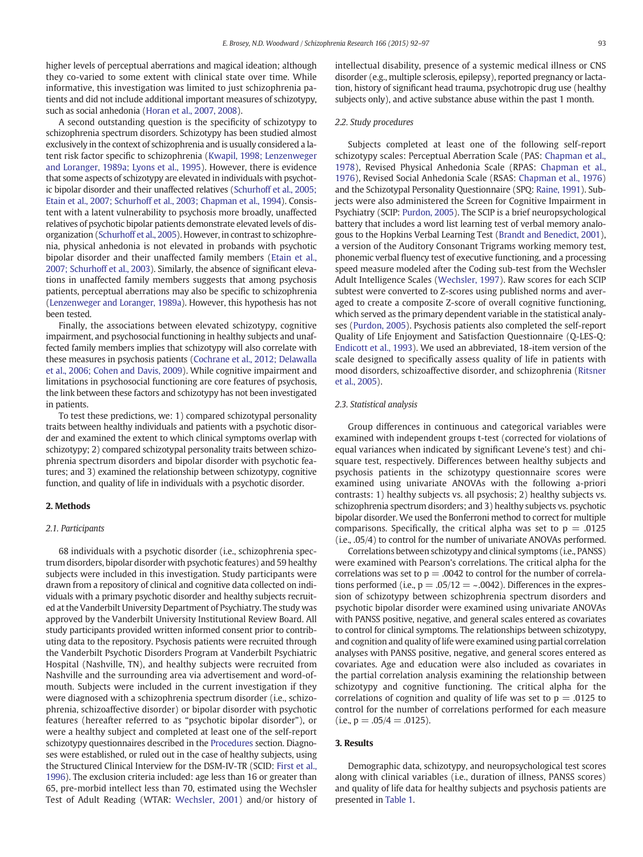higher levels of perceptual aberrations and magical ideation; although they co-varied to some extent with clinical state over time. While informative, this investigation was limited to just schizophrenia patients and did not include additional important measures of schizotypy, such as social anhedonia [\(Horan et al., 2007, 2008\)](#page-5-0).

A second outstanding question is the specificity of schizotypy to schizophrenia spectrum disorders. Schizotypy has been studied almost exclusively in the context of schizophrenia and is usually considered a latent risk factor specific to schizophrenia [\(Kwapil, 1998; Lenzenweger](#page-5-0) [and Loranger, 1989a; Lyons et al., 1995](#page-5-0)). However, there is evidence that some aspects of schizotypy are elevated in individuals with psychotic bipolar disorder and their unaffected relatives ([Schurhoff et al., 2005;](#page-5-0) [Etain et al., 2007; Schurhoff et al., 2003; Chapman et al., 1994](#page-5-0)). Consistent with a latent vulnerability to psychosis more broadly, unaffected relatives of psychotic bipolar patients demonstrate elevated levels of disorganization [\(Schurhoff et al., 2005\)](#page-5-0). However, in contrast to schizophrenia, physical anhedonia is not elevated in probands with psychotic bipolar disorder and their unaffected family members [\(Etain et al.,](#page-5-0) [2007; Schurhoff et al., 2003](#page-5-0)). Similarly, the absence of significant elevations in unaffected family members suggests that among psychosis patients, perceptual aberrations may also be specific to schizophrenia [\(Lenzenweger and Loranger, 1989a\)](#page-5-0). However, this hypothesis has not been tested.

Finally, the associations between elevated schizotypy, cognitive impairment, and psychosocial functioning in healthy subjects and unaffected family members implies that schizotypy will also correlate with these measures in psychosis patients [\(Cochrane et al., 2012; Delawalla](#page-5-0) [et al., 2006; Cohen and Davis, 2009\)](#page-5-0). While cognitive impairment and limitations in psychosocial functioning are core features of psychosis, the link between these factors and schizotypy has not been investigated in patients.

To test these predictions, we: 1) compared schizotypal personality traits between healthy individuals and patients with a psychotic disorder and examined the extent to which clinical symptoms overlap with schizotypy; 2) compared schizotypal personality traits between schizophrenia spectrum disorders and bipolar disorder with psychotic features; and 3) examined the relationship between schizotypy, cognitive function, and quality of life in individuals with a psychotic disorder.

#### 2. Methods

#### 2.1. Participants

68 individuals with a psychotic disorder (i.e., schizophrenia spectrum disorders, bipolar disorder with psychotic features) and 59 healthy subjects were included in this investigation. Study participants were drawn from a repository of clinical and cognitive data collected on individuals with a primary psychotic disorder and healthy subjects recruited at the Vanderbilt University Department of Psychiatry. The study was approved by the Vanderbilt University Institutional Review Board. All study participants provided written informed consent prior to contributing data to the repository. Psychosis patients were recruited through the Vanderbilt Psychotic Disorders Program at Vanderbilt Psychiatric Hospital (Nashville, TN), and healthy subjects were recruited from Nashville and the surrounding area via advertisement and word-ofmouth. Subjects were included in the current investigation if they were diagnosed with a schizophrenia spectrum disorder (i.e., schizophrenia, schizoaffective disorder) or bipolar disorder with psychotic features (hereafter referred to as "psychotic bipolar disorder"), or were a healthy subject and completed at least one of the self-report schizotypy questionnaires described in the Procedures section. Diagnoses were established, or ruled out in the case of healthy subjects, using the Structured Clinical Interview for the DSM-IV-TR (SCID: [First et al.,](#page-5-0) [1996](#page-5-0)). The exclusion criteria included: age less than 16 or greater than 65, pre-morbid intellect less than 70, estimated using the Wechsler Test of Adult Reading (WTAR: [Wechsler, 2001](#page-5-0)) and/or history of intellectual disability, presence of a systemic medical illness or CNS disorder (e.g., multiple sclerosis, epilepsy), reported pregnancy or lactation, history of significant head trauma, psychotropic drug use (healthy subjects only), and active substance abuse within the past 1 month.

#### 2.2. Study procedures

Subjects completed at least one of the following self-report schizotypy scales: Perceptual Aberration Scale (PAS: [Chapman et al.,](#page-5-0) [1978\)](#page-5-0), Revised Physical Anhedonia Scale (RPAS: [Chapman et al.,](#page-5-0) [1976\)](#page-5-0), Revised Social Anhedonia Scale (RSAS: [Chapman et al., 1976](#page-5-0)) and the Schizotypal Personality Questionnaire (SPQ: [Raine, 1991](#page-5-0)). Subjects were also administered the Screen for Cognitive Impairment in Psychiatry (SCIP: [Purdon, 2005](#page-5-0)). The SCIP is a brief neuropsychological battery that includes a word list learning test of verbal memory analogous to the Hopkins Verbal Learning Test [\(Brandt and Benedict, 2001](#page-5-0)), a version of the Auditory Consonant Trigrams working memory test, phonemic verbal fluency test of executive functioning, and a processing speed measure modeled after the Coding sub-test from the Wechsler Adult Intelligence Scales ([Wechsler, 1997\)](#page-5-0). Raw scores for each SCIP subtest were converted to Z-scores using published norms and averaged to create a composite Z-score of overall cognitive functioning, which served as the primary dependent variable in the statistical analyses [\(Purdon, 2005](#page-5-0)). Psychosis patients also completed the self-report Quality of Life Enjoyment and Satisfaction Questionnaire (Q-LES-Q: [Endicott et al., 1993](#page-5-0)). We used an abbreviated, 18-item version of the scale designed to specifically assess quality of life in patients with mood disorders, schizoaffective disorder, and schizophrenia ([Ritsner](#page-5-0) [et al., 2005](#page-5-0)).

#### 2.3. Statistical analysis

Group differences in continuous and categorical variables were examined with independent groups t-test (corrected for violations of equal variances when indicated by significant Levene's test) and chisquare test, respectively. Differences between healthy subjects and psychosis patients in the schizotypy questionnaire scores were examined using univariate ANOVAs with the following a-priori contrasts: 1) healthy subjects vs. all psychosis; 2) healthy subjects vs. schizophrenia spectrum disorders; and 3) healthy subjects vs. psychotic bipolar disorder. We used the Bonferroni method to correct for multiple comparisons. Specifically, the critical alpha was set to  $p = .0125$ (i.e., .05/4) to control for the number of univariate ANOVAs performed.

Correlations between schizotypy and clinical symptoms (i.e., PANSS) were examined with Pearson's correlations. The critical alpha for the correlations was set to  $p = .0042$  to control for the number of correlations performed (i.e.,  $p = .05/12 = -.0042$ ). Differences in the expression of schizotypy between schizophrenia spectrum disorders and psychotic bipolar disorder were examined using univariate ANOVAs with PANSS positive, negative, and general scales entered as covariates to control for clinical symptoms. The relationships between schizotypy, and cognition and quality of life were examined using partial correlation analyses with PANSS positive, negative, and general scores entered as covariates. Age and education were also included as covariates in the partial correlation analysis examining the relationship between schizotypy and cognitive functioning. The critical alpha for the correlations of cognition and quality of life was set to  $p = .0125$  to control for the number of correlations performed for each measure  $(i.e., p = .05/4 = .0125).$ 

#### 3. Results

Demographic data, schizotypy, and neuropsychological test scores along with clinical variables (i.e., duration of illness, PANSS scores) and quality of life data for healthy subjects and psychosis patients are presented in [Table 1.](#page-2-0)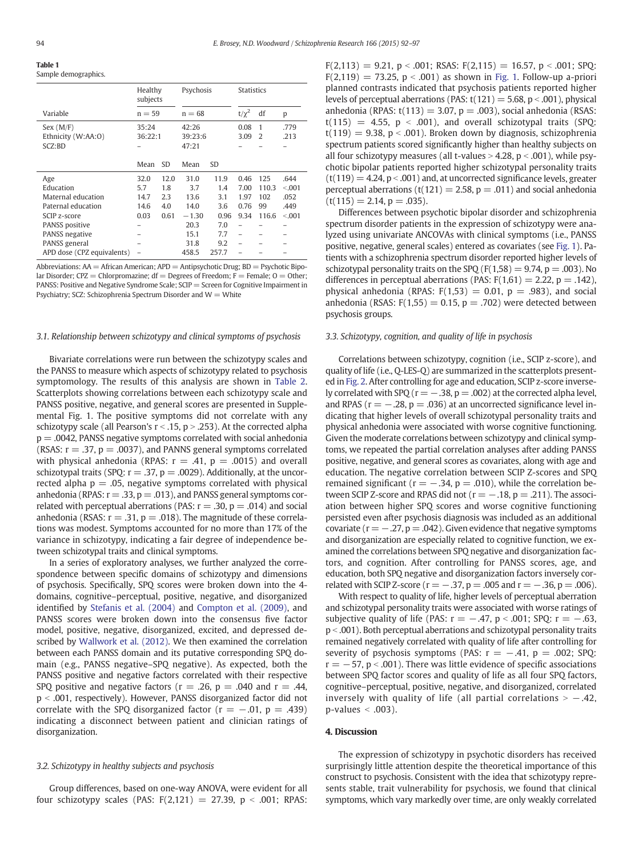<span id="page-2-0"></span>Table 1 Sample demographics.

|                                           | Healthy<br>subjects |      | Psychosis                 |       | <b>Statistics</b> |        |              |
|-------------------------------------------|---------------------|------|---------------------------|-------|-------------------|--------|--------------|
| Variable                                  | $n = 59$            |      | $n = 68$                  |       | $t/\chi^2$        | df     | р            |
| Sex (M/F)<br>Ethnicity (W:AA:O)<br>SCZ:BD | 35:24<br>36:22:1    |      | 42:26<br>39:23:6<br>47:21 |       | 0.08<br>3.09      | 1<br>2 | .779<br>.213 |
|                                           | Mean                | SD   | Mean                      | SD    |                   |        |              |
| Age                                       | 32.0                | 12.0 | 31.0                      | 11.9  | 0.46              | 125    | .644         |
| Education                                 | 5.7                 | 1.8  | 3.7                       | 1.4   | 7.00              | 110.3  | < 0.001      |
| Maternal education                        | 14.7                | 2.3  | 13.6                      | 3.1   | 1.97              | 102    | .052         |
| Paternal education                        | 14.6                | 4.0  | 14.0                      | 3.6   | 0.76              | 99     | .449         |
| SCIP z-score                              | 0.03                | 0.61 | $-1.30$                   | 0.96  | 9.34              | 116.6  | < 0.001      |
| <b>PANSS positive</b>                     |                     |      | 20.3                      | 7.0   |                   |        |              |
| PANSS negative                            |                     |      | 15.1                      | 7.7   |                   |        |              |
| PANSS general                             |                     |      | 31.8                      | 9.2   |                   |        |              |
| APD dose (CPZ equivalents)                |                     |      | 458.5                     | 257.7 |                   |        |              |



#### 3.1. Relationship between schizotypy and clinical symptoms of psychosis

Bivariate correlations were run between the schizotypy scales and the PANSS to measure which aspects of schizotypy related to psychosis symptomology. The results of this analysis are shown in [Table 2.](#page-3-0) Scatterplots showing correlations between each schizotypy scale and PANSS positive, negative, and general scores are presented in Supplemental Fig. 1. The positive symptoms did not correlate with any schizotypy scale (all Pearson's  $r < .15$ , p  $> .253$ ). At the corrected alpha  $p = 0.0042$ , PANSS negative symptoms correlated with social anhedonia (RSAS:  $r = .37$ ,  $p = .0037$ ), and PANNS general symptoms correlated with physical anhedonia (RPAS:  $r = .41$ ,  $p = .0015$ ) and overall schizotypal traits (SPQ:  $r = .37$ ,  $p = .0029$ ). Additionally, at the uncorrected alpha  $p = 0.05$ , negative symptoms correlated with physical anhedonia (RPAS:  $r = .33$ ,  $p = .013$ ), and PANSS general symptoms correlated with perceptual aberrations (PAS:  $r = .30$ ,  $p = .014$ ) and social anhedonia (RSAS:  $r = .31$ ,  $p = .018$ ). The magnitude of these correlations was modest. Symptoms accounted for no more than 17% of the variance in schizotypy, indicating a fair degree of independence between schizotypal traits and clinical symptoms.

In a series of exploratory analyses, we further analyzed the correspondence between specific domains of schizotypy and dimensions of psychosis. Specifically, SPQ scores were broken down into the 4 domains, cognitive–perceptual, positive, negative, and disorganized identified by [Stefanis et al. \(2004\)](#page-5-0) and [Compton et al. \(2009\)](#page-5-0), and PANSS scores were broken down into the consensus five factor model, positive, negative, disorganized, excited, and depressed described by [Wallwork et al. \(2012\).](#page-5-0) We then examined the correlation between each PANSS domain and its putative corresponding SPQ domain (e.g., PANSS negative–SPQ negative). As expected, both the PANSS positive and negative factors correlated with their respective SPQ positive and negative factors ( $r = .26$ ,  $p = .040$  and  $r = .44$ ,  $p < .001$ , respectively). However, PANSS disorganized factor did not correlate with the SPQ disorganized factor ( $r = -.01$ ,  $p = .439$ ) indicating a disconnect between patient and clinician ratings of disorganization.

#### 3.2. Schizotypy in healthy subjects and psychosis

Group differences, based on one-way ANOVA, were evident for all four schizotypy scales (PAS:  $F(2,121) = 27.39$ ,  $p < .001$ ; RPAS:  $F(2,113) = 9.21$ , p < .001; RSAS:  $F(2,115) = 16.57$ , p < .001; SPQ:  $F(2,119) = 73.25$ ,  $p < .001$ ) as shown in [Fig. 1](#page-3-0). Follow-up a-priori planned contrasts indicated that psychosis patients reported higher levels of perceptual aberrations (PAS:  $t(121) = 5.68$ ,  $p < .001$ ), physical anhedonia (RPAS:  $t(113) = 3.07$ ,  $p = .003$ ), social anhedonia (RSAS:  $t(115) = 4.55$ ,  $p < .001$ ), and overall schizotypal traits (SPQ:  $t(119) = 9.38$ , p < .001). Broken down by diagnosis, schizophrenia spectrum patients scored significantly higher than healthy subjects on all four schizotypy measures (all t-values  $>$  4.28, p  $<$  .001), while psychotic bipolar patients reported higher schizotypal personality traits  $(t(119) = 4.24, p < .001)$  and, at uncorrected significance levels, greater perceptual aberrations (t(121) = 2.58,  $p = .011$ ) and social anhedonia  $(t(115) = 2.14, p = .035).$ 

Differences between psychotic bipolar disorder and schizophrenia spectrum disorder patients in the expression of schizotypy were analyzed using univariate ANCOVAs with clinical symptoms (i.e., PANSS positive, negative, general scales) entered as covariates (see [Fig. 1\)](#page-3-0). Patients with a schizophrenia spectrum disorder reported higher levels of schizotypal personality traits on the SPQ ( $F(1,58) = 9.74$ ,  $p = .003$ ). No differences in perceptual aberrations (PAS:  $F(1,61) = 2.22$ ,  $p = .142$ ), physical anhedonia (RPAS:  $F(1,53) = 0.01$ ,  $p = .983$ ), and social anhedonia (RSAS:  $F(1,55) = 0.15$ ,  $p = .702$ ) were detected between psychosis groups.

#### 3.3. Schizotypy, cognition, and quality of life in psychosis

Correlations between schizotypy, cognition (i.e., SCIP z-score), and quality of life (i.e., Q-LES-Q) are summarized in the scatterplots presented in [Fig. 2.](#page-4-0) After controlling for age and education, SCIP z-score inversely correlated with SPQ ( $r = -.38$ ,  $p = .002$ ) at the corrected alpha level, and RPAS ( $r = -.28$ ,  $p = .036$ ) at an uncorrected significance level indicating that higher levels of overall schizotypal personality traits and physical anhedonia were associated with worse cognitive functioning. Given the moderate correlations between schizotypy and clinical symptoms, we repeated the partial correlation analyses after adding PANSS positive, negative, and general scores as covariates, along with age and education. The negative correlation between SCIP Z-scores and SPQ remained significant ( $r = -.34$ ,  $p = .010$ ), while the correlation between SCIP Z-score and RPAS did not ( $r = -.18$ ,  $p = .211$ ). The association between higher SPQ scores and worse cognitive functioning persisted even after psychosis diagnosis was included as an additional covariate ( $r = -.27$ ,  $p = .042$ ). Given evidence that negative symptoms and disorganization are especially related to cognitive function, we examined the correlations between SPQ negative and disorganization factors, and cognition. After controlling for PANSS scores, age, and education, both SPQ negative and disorganization factors inversely correlated with SCIP Z-score ( $r = -.37$ ,  $p = .005$  and  $r = -.36$ ,  $p = .006$ ).

With respect to quality of life, higher levels of perceptual aberration and schizotypal personality traits were associated with worse ratings of subjective quality of life (PAS:  $r = -.47$ ,  $p < .001$ ; SPQ:  $r = -.63$ ,  $p < .001$ ). Both perceptual aberrations and schizotypal personality traits remained negatively correlated with quality of life after controlling for severity of psychosis symptoms (PAS:  $r = -.41$ ,  $p = .002$ ; SPQ:  $r = -57$ , p < .001). There was little evidence of specific associations between SPQ factor scores and quality of life as all four SPQ factors, cognitive–perceptual, positive, negative, and disorganized, correlated inversely with quality of life (all partial correlations  $> -0.42$ , p-values  $< .003$ ).

#### 4. Discussion

The expression of schizotypy in psychotic disorders has received surprisingly little attention despite the theoretical importance of this construct to psychosis. Consistent with the idea that schizotypy represents stable, trait vulnerability for psychosis, we found that clinical symptoms, which vary markedly over time, are only weakly correlated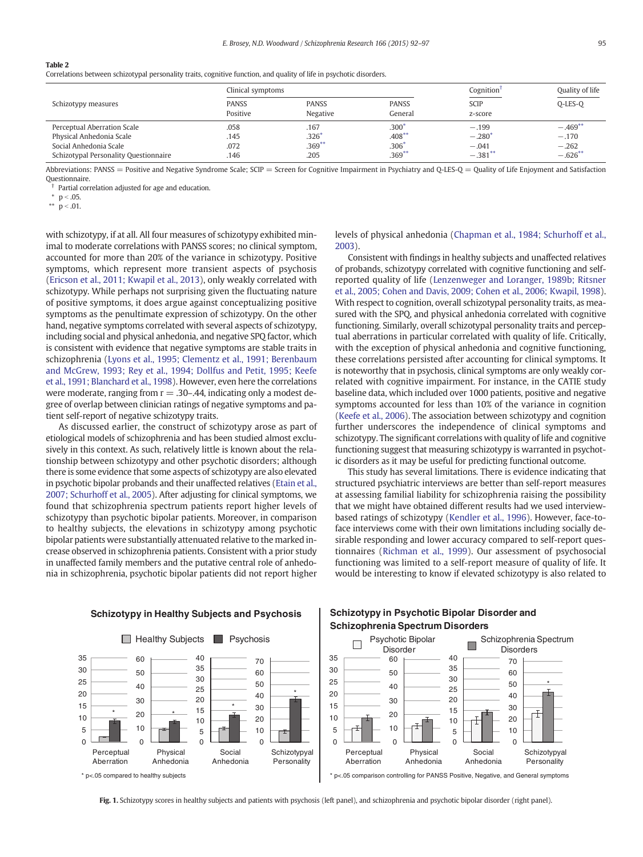#### <span id="page-3-0"></span>Table 2

Correlations between schizotypal personality traits, cognitive function, and quality of life in psychotic disorders.

|                                                                                                                            | Clinical symptoms            |                                  | Cognition <sup>†</sup>                     | Quality of life                                          |                                               |
|----------------------------------------------------------------------------------------------------------------------------|------------------------------|----------------------------------|--------------------------------------------|----------------------------------------------------------|-----------------------------------------------|
| Schizotypy measures                                                                                                        | <b>PANSS</b><br>Positive     | <b>PANSS</b><br>Negative         | <b>PANSS</b><br>General                    | <b>SCIP</b><br>z-score                                   | O-LES-O                                       |
| Perceptual Aberration Scale<br>Physical Anhedonia Scale<br>Social Anhedonia Scale<br>Schizotypal Personality Questionnaire | .058<br>.145<br>.072<br>.146 | .167<br>.326<br>$.369**$<br>.205 | $.300*$<br>$.408**$<br>$.306*$<br>$.369**$ | $-.199$<br>$-.280$ <sup>*</sup><br>$-.041$<br>$-.381***$ | $-.469**$<br>$-.170$<br>$-.262$<br>$-.626***$ |

Abbreviations: PANSS = Positive and Negative Syndrome Scale; SCIP = Screen for Cognitive Impairment in Psychiatry and Q-LES-Q = Quality of Life Enjoyment and Satisfaction Questionnaire.

Partial correlation adjusted for age and education.

\*  $p < .05$ .<br>\*\*  $p < .01$ 

 $p < .01$ .

with schizotypy, if at all. All four measures of schizotypy exhibited minimal to moderate correlations with PANSS scores; no clinical symptom, accounted for more than 20% of the variance in schizotypy. Positive symptoms, which represent more transient aspects of psychosis [\(Ericson et al., 2011; Kwapil et al., 2013\)](#page-5-0), only weakly correlated with schizotypy. While perhaps not surprising given the fluctuating nature of positive symptoms, it does argue against conceptualizing positive symptoms as the penultimate expression of schizotypy. On the other hand, negative symptoms correlated with several aspects of schizotypy, including social and physical anhedonia, and negative SPQ factor, which is consistent with evidence that negative symptoms are stable traits in schizophrenia ([Lyons et al., 1995; Clementz et al., 1991; Berenbaum](#page-5-0) [and McGrew, 1993; Rey et al., 1994; Dollfus and Petit, 1995; Keefe](#page-5-0) [et al., 1991; Blanchard et al., 1998](#page-5-0)). However, even here the correlations were moderate, ranging from  $r = .30-.44$ , indicating only a modest degree of overlap between clinician ratings of negative symptoms and patient self-report of negative schizotypy traits.

As discussed earlier, the construct of schizotypy arose as part of etiological models of schizophrenia and has been studied almost exclusively in this context. As such, relatively little is known about the relationship between schizotypy and other psychotic disorders; although there is some evidence that some aspects of schizotypy are also elevated in psychotic bipolar probands and their unaffected relatives ([Etain et al.,](#page-5-0) [2007; Schurhoff et al., 2005](#page-5-0)). After adjusting for clinical symptoms, we found that schizophrenia spectrum patients report higher levels of schizotypy than psychotic bipolar patients. Moreover, in comparison to healthy subjects, the elevations in schizotypy among psychotic bipolar patients were substantially attenuated relative to the marked increase observed in schizophrenia patients. Consistent with a prior study in unaffected family members and the putative central role of anhedonia in schizophrenia, psychotic bipolar patients did not report higher levels of physical anhedonia ([Chapman et al., 1984; Schurhoff et al.,](#page-5-0) [2003](#page-5-0)).

Consistent with findings in healthy subjects and unaffected relatives of probands, schizotypy correlated with cognitive functioning and selfreported quality of life [\(Lenzenweger and Loranger, 1989b; Ritsner](#page-5-0) [et al., 2005; Cohen and Davis, 2009; Cohen et al., 2006; Kwapil, 1998](#page-5-0)). With respect to cognition, overall schizotypal personality traits, as measured with the SPQ, and physical anhedonia correlated with cognitive functioning. Similarly, overall schizotypal personality traits and perceptual aberrations in particular correlated with quality of life. Critically, with the exception of physical anhedonia and cognitive functioning, these correlations persisted after accounting for clinical symptoms. It is noteworthy that in psychosis, clinical symptoms are only weakly correlated with cognitive impairment. For instance, in the CATIE study baseline data, which included over 1000 patients, positive and negative symptoms accounted for less than 10% of the variance in cognition [\(Keefe et al., 2006\)](#page-5-0). The association between schizotypy and cognition further underscores the independence of clinical symptoms and schizotypy. The significant correlations with quality of life and cognitive functioning suggest that measuring schizotypy is warranted in psychotic disorders as it may be useful for predicting functional outcome.

This study has several limitations. There is evidence indicating that structured psychiatric interviews are better than self-report measures at assessing familial liability for schizophrenia raising the possibility that we might have obtained different results had we used interviewbased ratings of schizotypy [\(Kendler et al., 1996\)](#page-5-0). However, face-toface interviews come with their own limitations including socially desirable responding and lower accuracy compared to self-report questionnaires ([Richman et al., 1999](#page-5-0)). Our assessment of psychosocial functioning was limited to a self-report measure of quality of life. It would be interesting to know if elevated schizotypy is also related to



## Schizotypy in Healthy Subjects and Psychosis | Schizotypy in Psychotic Bipolar Disorder and

Fig. 1. Schizotypy scores in healthy subjects and patients with psychosis (left panel), and schizophrenia and psychotic bipolar disorder (right panel).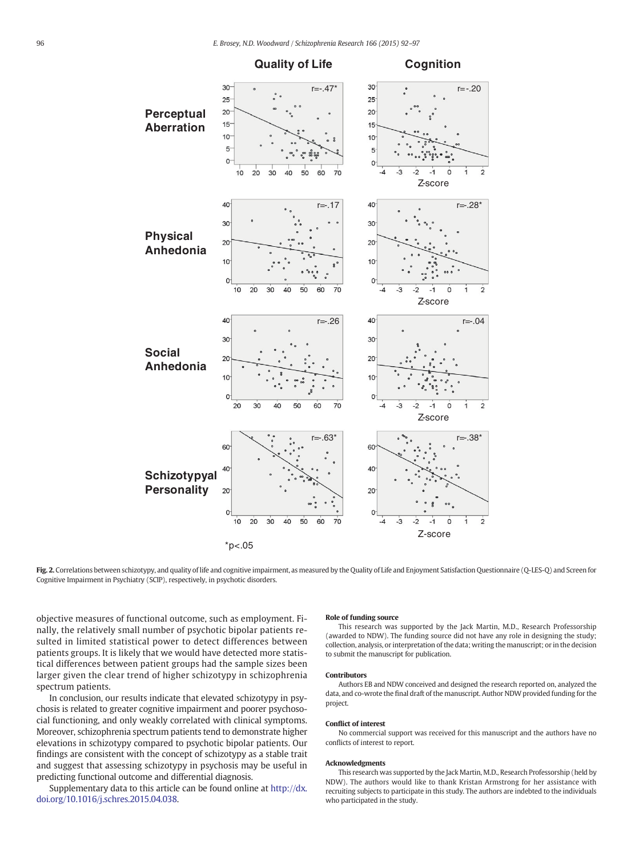<span id="page-4-0"></span>

Fig. 2. Correlations between schizotypy, and quality of life and cognitive impairment, as measured by the Quality of Life and Enjoyment Satisfaction Questionnaire (Q-LES-Q) and Screen for Cognitive Impairment in Psychiatry (SCIP), respectively, in psychotic disorders.

objective measures of functional outcome, such as employment. Finally, the relatively small number of psychotic bipolar patients resulted in limited statistical power to detect differences between patients groups. It is likely that we would have detected more statistical differences between patient groups had the sample sizes been larger given the clear trend of higher schizotypy in schizophrenia spectrum patients.

In conclusion, our results indicate that elevated schizotypy in psychosis is related to greater cognitive impairment and poorer psychosocial functioning, and only weakly correlated with clinical symptoms. Moreover, schizophrenia spectrum patients tend to demonstrate higher elevations in schizotypy compared to psychotic bipolar patients. Our findings are consistent with the concept of schizotypy as a stable trait and suggest that assessing schizotypy in psychosis may be useful in predicting functional outcome and differential diagnosis.

Supplementary data to this article can be found online at [http://dx.](http://dx.doi.org/10.1016/j.schres.2015.04.038) [doi.org/10.1016/j.schres.2015.04.038.](http://dx.doi.org/10.1016/j.schres.2015.04.038)

#### Role of funding source

This research was supported by the Jack Martin, M.D., Research Professorship (awarded to NDW). The funding source did not have any role in designing the study; collection, analysis, or interpretation of the data; writing the manuscript; or in the decision to submit the manuscript for publication.

#### Contributors

Authors EB and NDW conceived and designed the research reported on, analyzed the data, and co-wrote the final draft of the manuscript. Author NDW provided funding for the project.

#### Conflict of interest

No commercial support was received for this manuscript and the authors have no conflicts of interest to report.

#### Acknowledgments

This research was supported by the Jack Martin, M.D., Research Professorship (held by NDW). The authors would like to thank Kristan Armstrong for her assistance with recruiting subjects to participate in this study. The authors are indebted to the individuals who participated in the study.